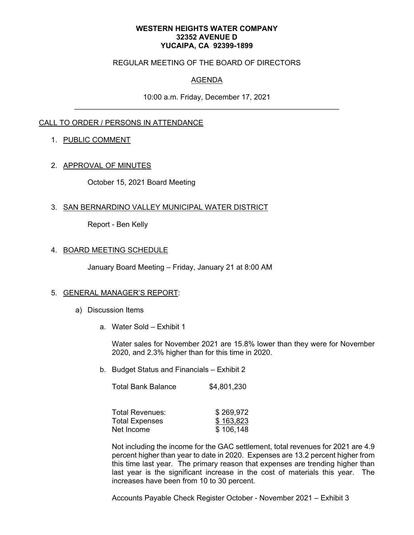#### **WESTERN HEIGHTS WATER COMPANY 32352 AVENUE D YUCAIPA, CA 92399-1899**

### REGULAR MEETING OF THE BOARD OF DIRECTORS

# AGENDA

10:00 a.m. Friday, December 17, 2021

## CALL TO ORDER / PERSONS IN ATTENDANCE

### 1. PUBLIC COMMENT

### 2. APPROVAL OF MINUTES

October 15, 2021 Board Meeting

### 3. SAN BERNARDINO VALLEY MUNICIPAL WATER DISTRICT

Report - Ben Kelly

### 4. BOARD MEETING SCHEDULE

January Board Meeting – Friday, January 21 at 8:00 AM

#### 5. GENERAL MANAGER'S REPORT:

- a) Discussion Items
	- a. Water Sold Exhibit 1

Water sales for November 2021 are 15.8% lower than they were for November 2020, and 2.3% higher than for this time in 2020.

b. Budget Status and Financials – Exhibit 2

| <b>Total Bank Balance</b> | \$4,801,230 |
|---------------------------|-------------|
|---------------------------|-------------|

| Total Revenues:       | \$269,972 |
|-----------------------|-----------|
| <b>Total Expenses</b> | \$163,823 |
| Net Income            | \$106,148 |

Not including the income for the GAC settlement, total revenues for 2021 are 4.9 percent higher than year to date in 2020. Expenses are 13.2 percent higher from this time last year. The primary reason that expenses are trending higher than last year is the significant increase in the cost of materials this year. The increases have been from 10 to 30 percent.

Accounts Payable Check Register October - November 2021 – Exhibit 3